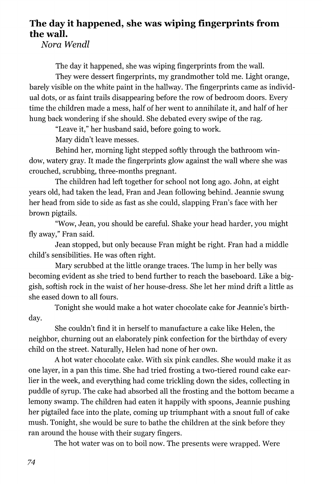## **The day it happened, she was wiping fingerprints from the wall.**

*Nora Wendl* 

The day it happened, she was wiping fingerprints from the wall.

They were dessert fingerprints, my grandmother told me. Light orange, barely visible on the white paint in the hallway. The fingerprints came as individual dots, or as faint trails disappearing before the row of bedroom doors. Every time the children made a mess, half of her went to annihilate it, and half of her hung back wondering if she should. She debated every swipe of the rag.

"Leave it," her husband said, before going to work.

Mary didn't leave messes.

Behind her, morning light stepped softly through the bathroom window, watery gray. It made the fingerprints glow against the wall where she was crouched, scrubbing, three-months pregnant.

The children had left together for school not long ago. John, at eight years old, had taken the lead, Fran and Jean following behind. Jeannie swung her head from side to side as fast as she could, slapping Fran's face with her brown pigtails.

"Wow, Jean, you should be careful. Shake your head harder, you might fly away," Fran said.

Jean stopped, but only because Fran might be right. Fran had a middle child's sensibilities. He was often right.

Mary scrubbed at the little orange traces. The lump in her belly was becoming evident as she tried to bend further to reach the baseboard. Like a biggish, softish rock in the waist of her house-dress. She let her mind drift a little as she eased down to all fours.

Tonight she would make a hot water chocolate cake for Jeannie's birthday.

She couldn't find it in herself to manufacture a cake like Helen, the neighbor, churning out an elaborately pink confection for the birthday of every child on the street. Naturally, Helen had none of her own.

A hot water chocolate cake. With six pink candles. She would make it as one layer, in a pan this time. She had tried frosting a two-tiered round cake earlier in the week, and everything had come trickling down the sides, collecting in puddle of syrup. The cake had absorbed all the frosting and the bottom became a lemony swamp. The children had eaten it happily with spoons, Jeannie pushing her pigtailed face into the plate, coming up triumphant with a snout full of cake mush. Tonight, she would be sure to bathe the children at the sink before they ran around the house with their sugary fingers.

The hot water was on to boil now. The presents were wrapped. Were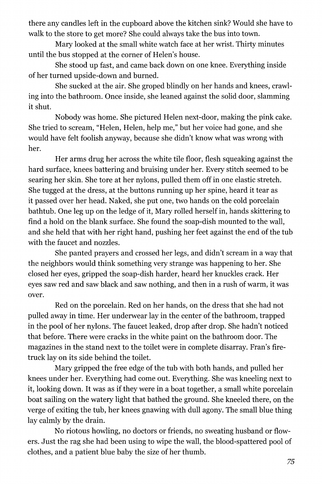there any candles left in the cupboard above the kitchen sink? Would she have to walk to the store to get more? She could always take the bus into town.

Mary looked at the small white watch face at her wrist. Thirty minutes until the bus stopped at the corner of Helen's house.

She stood up fast, and came back down on one knee. Everything inside of her turned upside-down and burned.

She sucked at the air. She groped blindly on her hands and knees, crawling into the bathroom. Once inside, she leaned against the solid door, slamming it shut.

Nobody was home. She pictured Helen next-door, making the pink cake. She tried to scream, "Helen, Helen, help me," but her voice had gone, and she would have felt foolish anyway, because she didn't know what was wrong with her.

Her arms drug her across the white tile floor, flesh squeaking against the hard surface, knees battering and bruising under her. Every stitch seemed to be searing her skin. She tore at her nylons, pulled them off in one elastic stretch. She tugged at the dress, at the buttons running up her spine, heard it tear as it passed over her head. Naked, she put one, two hands on the cold porcelain bathtub. One leg up on the ledge of it, Mary rolled herself in, hands skittering to find a hold on the blank surface. She found the soap-dish mounted to the wall, and she held that with her right hand, pushing her feet against the end of the tub with the faucet and nozzles.

She panted prayers and crossed her legs, and didn't scream in a way that the neighbors would think something very strange was happening to her. She closed her eyes, gripped the soap-dish harder, heard her knuckles crack. Her eyes saw red and saw black and saw nothing, and then in a rush of warm, it was over.

Red on the porcelain. Red on her hands, on the dress that she had not pulled away in time. Her underwear lay in the center of the bathroom, trapped in the pool of her nylons. The faucet leaked, drop after drop. She hadn't noticed that before. There were cracks in the white paint on the bathroom door. The magazines in the stand next to the toilet were in complete disarray. Fran's firetruck lay on its side behind the toilet.

Mary gripped the free edge of the tub with both hands, and pulled her knees under her. Everything had come out. Everything. She was kneeling next to it, looking down. It was as if they were in a boat together, a small white porcelain boat sailing on the watery light that bathed the ground. She kneeled there, on the verge of exiting the tub, her knees gnawing with dull agony. The small blue thing lay calmly by the drain.

No riotous howling, no doctors or friends, no sweating husband or flowers. Just the rag she had been using to wipe the wall, the blood-spattered pool of clothes, and a patient blue baby the size of her thumb.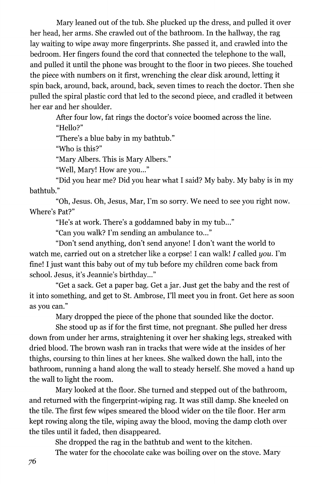Mary leaned out of the tub. She plucked up the dress, and pulled it over her head, her arms. She crawled out of the bathroom. In the hallway, the rag lay waiting to wipe away more fingerprints. She passed it, and crawled into the bedroom. Her fingers found the cord that connected the telephone to the wall, and pulled it until the phone was brought to the floor in two pieces. She touched the piece with numbers on it first, wrenching the clear disk around, letting it spin back, around, back, around, back, seven times to reach the doctor. Then she pulled the spiral plastic cord that led to the second piece, and cradled it between her ear and her shoulder.

After four low, fat rings the doctor's voice boomed across the line. "Hello?"

"There's a blue baby in my bathtub."

"Who is this?"

"Mary Albers. This is Mary Albers."

"Well, Mary! How are you..."

"Did you hear me? Did you hear what I said? My baby. My baby is in my bathtub."

"Oh, Jesus. Oh, Jesus, Mar, I'm so sorry. We need to see you right now. Where's Pat?"

"He's at work. There's a goddamned baby in my tub..."

"Can you walk? I'm sending an ambulance to..."

"Don't send anything, don't send anyone! I don't want the world to watch me, carried out on a stretcher like a corpse! I can walk! J called *you.* I'm fine! I just want this baby out of my tub before my children come back from school. Jesus, it's Jeannie's birthday..."

"Get a sack. Get a paper bag. Get ajar. Just get the baby and the rest of it into something, and get to St. Ambrose, I'll meet you in front. Get here as soon as you can."

Mary dropped the piece of the phone that sounded like the doctor.

She stood up as if for the first time, not pregnant. She pulled her dress down from under her arms, straightening it over her shaking legs, streaked with dried blood. The brown wash ran in tracks that were wide at the insides of her thighs, coursing to thin lines at her knees. She walked down the hall, into the bathroom, running a hand along the wall to steady herself. She moved a hand up the wall to light the room.

Mary looked at the floor. She turned and stepped out of the bathroom, and returned with the fingerprint-wiping rag. It was still damp. She kneeled on the tile. The first few wipes smeared the blood wider on the tile floor. Her arm kept rowing along the tile, wiping away the blood, moving the damp cloth over the tiles until it faded, then disappeared.

She dropped the rag in the bathtub and went to the kitchen.

The water for the chocolate cake was boiling over on the stove. Mary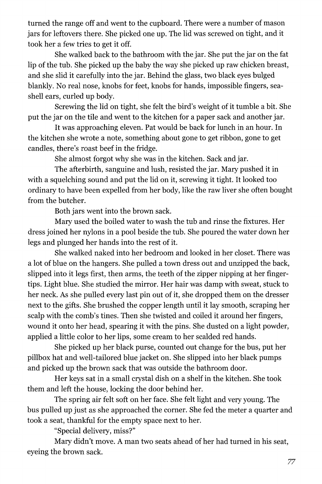turned the range off and went to the cupboard. There were a number of mason jars for leftovers there. She picked one up. The lid was screwed on tight, and it took her a few tries to get it off.

She walked back to the bathroom with the jar. She put the jar on the fat lip of the tub. She picked up the baby the way she picked up raw chicken breast, and she slid it carefully into the jar. Behind the glass, two black eyes bulged blankly. No real nose, knobs for feet, knobs for hands, impossible fingers, seashell ears, curled up body.

Screwing the lid on tight, she felt the bird's weight of it tumble a bit. She put the jar on the tile and went to the kitchen for a paper sack and another jar.

It was approaching eleven. Pat would be back for lunch in an hour. In the kitchen she wrote a note, something about gone to get ribbon, gone to get candles, there's roast beef in the fridge.

She almost forgot why she was in the kitchen. Sack and jar.

The afterbirth, sanguine and lush, resisted the jar. Mary pushed it in with a squelching sound and put the lid on it, screwing it tight. It looked too ordinary to have been expelled from her body, like the raw liver she often bought from the butcher.

Both jars went into the brown sack.

Mary used the boiled water to wash the tub and rinse the fixtures. Her dress joined her nylons in a pool beside the tub. She poured the water down her legs and plunged her hands into the rest of it.

She walked naked into her bedroom and looked in her closet. There was a lot of blue on the hangers. She pulled a town dress out and unzipped the back, slipped into it legs first, then arms, the teeth of the zipper nipping at her fingertips. Light blue. She studied the mirror. Her hair was damp with sweat, stuck to her neck. As she pulled every last pin out of it, she dropped them on the dresser next to the gifts. She brushed the copper length until it lay smooth, scraping her scalp with the comb's tines. Then she twisted and coiled it around her fingers, wound it onto her head, spearing it with the pins. She dusted on a light powder, applied a little color to her lips, some cream to her scalded red hands.

She picked up her black purse, counted out change for the bus, put her pillbox hat and well-tailored blue jacket on. She slipped into her black pumps and picked up the brown sack that was outside the bathroom door.

Her keys sat in a small crystal dish on a shelf in the kitchen. She took them and left the house, locking the door behind her.

The spring air felt soft on her face. She felt light and very young. The bus pulled up just as she approached the corner. She fed the meter a quarter and took a seat, thankful for the empty space next to her.

"Special delivery, miss?"

Mary didn't move. A man two seats ahead of her had turned in his seat, eyeing the brown sack.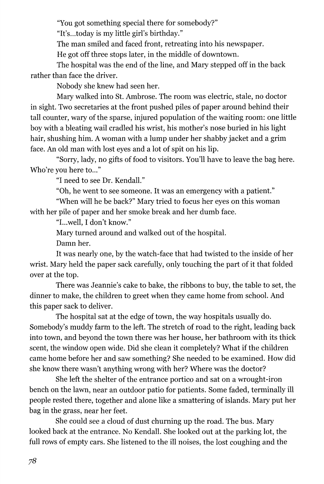"You got something special there for somebody?"

"It's...today is my little girl's birthday."

The man smiled and faced front, retreating into his newspaper.

He got off three stops later, in the middle of downtown.

The hospital was the end of the line, and Mary stepped off in the back rather than face the driver.

Nobody she knew had seen her.

Mary walked into St. Ambrose. The room was electric, stale, no doctor in sight. Two secretaries at the front pushed piles of paper around behind their tall counter, wary of the sparse, injured population of the waiting room: one little boy with a bleating wail cradled his wrist, his mother's nose buried in his light hair, shushing him. A woman with a lump under her shabby jacket and a grim face. An old man with lost eyes and a lot of spit on his lip.

"Sorry, lady, no gifts of food to visitors. You'll have to leave the bag here. Who're you here to..."

"I need to see Dr. Kendall."

"Oh, he went to see someone. It was an emergency with a patient."

"When will he be back?" Mary tried to focus her eyes on this woman with her pile of paper and her smoke break and her dumb face.

"L..well, I don't know."

Mary turned around and walked out of the hospital.

Damn her.

It was nearly one, by the watch-face that had twisted to the inside of her wrist. Mary held the paper sack carefully, only touching the part of it that folded over at the top.

There was Jeannie's cake to bake, the ribbons to buy, the table to set, the dinner to make, the children to greet when they came home from school. And this paper sack to deliver.

The hospital sat at the edge of town, the way hospitals usually do. Somebody's muddy farm to the left. The stretch of road to the right, leading back into town, and beyond the town there was her house, her bathroom with its thick scent, the window open wide. Did she clean it completely? What if the children came home before her and saw something? She needed to be examined. How did she know there wasn't anything wrong with her? Where was the doctor?

She left the shelter of the entrance portico and sat on a wrought-iron bench on the lawn, near an outdoor patio for patients. Some faded, terminally ill people rested there, together and alone like a smattering of islands. Mary put her bag in the grass, near her feet.

She could see a cloud of dust churning up the road. The bus. Mary looked back at the entrance. No Kendall. She looked out at the parking lot, the full rows of empty cars. She listened to the ill noises, the lost coughing and the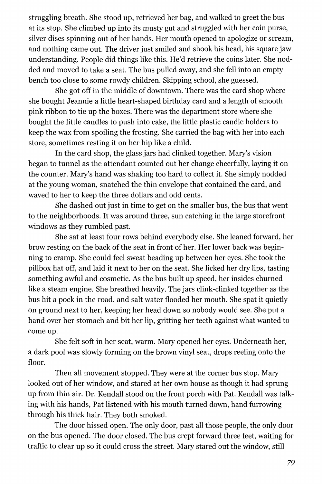struggling breath. She stood up, retrieved her bag, and walked to greet the bus at its stop. She climbed up into its musty gut and struggled with her coin purse, silver discs spinning out of her hands. Her mouth opened to apologize or scream, and nothing came out. The driver just smiled and shook his head, his square jaw understanding. People did things like this. He'd retrieve the coins later. She nodded and moved to take a seat. The bus pulled away, and she fell into an empty bench too close to some rowdy children. Skipping school, she guessed.

She got off in the middle of downtown. There was the card shop where she bought Jeannie a little heart-shaped birthday card and a length of smooth pink ribbon to tie up the boxes. There was the department store where she bought the little candles to push into cake, the little plastic candle holders to keep the wax from spoiling the frosting. She carried the bag with her into each store, sometimes resting it on her hip like a child.

In the card shop, the glass jars had clinked together. Mary's vision began to tunnel as the attendant counted out her change cheerfully, laying it on the counter. Mary's hand was shaking too hard to collect it. She simply nodded at the young woman, snatched the thin envelope that contained the card, and waved to her to keep the three dollars and odd cents.

She dashed out just in time to get on the smaller bus, the bus that went to the neighborhoods. It was around three, sun catching in the large storefront windows as they rumbled past.

She sat at least four rows behind everybody else. She leaned forward, her brow resting on the back of the seat in front of her. Her lower back was beginning to cramp. She could feel sweat beading up between her eyes. She took the pillbox hat off, and laid it next to her on the seat. She licked her dry lips, tasting something awful and cosmetic. As the bus built up speed, her insides churned like a steam engine. She breathed heavily. The jars clink-clinked together as the bus hit a pock in the road, and salt water flooded her mouth. She spat it quietly on ground next to her, keeping her head down so nobody would see. She put a hand over her stomach and bit her lip, gritting her teeth against what wanted to come up.

She felt soft in her seat, warm. Mary opened her eyes. Underneath her, a dark pool was slowly forming on the brown vinyl seat, drops reeling onto the floor.

Then all movement stopped. They were at the corner bus stop. Mary looked out of her window, and stared at her own house as though it had sprung up from thin air. Dr. Kendall stood on the front porch with Pat. Kendall was talking with his hands, Pat listened with his mouth turned down, hand furrowing through his thick hair. They both smoked.

The door hissed open. The only door, past all those people, the only door on the bus opened. The door closed. The bus crept forward three feet, waiting for traffic to clear up so it could cross the street. Mary stared out the window, still